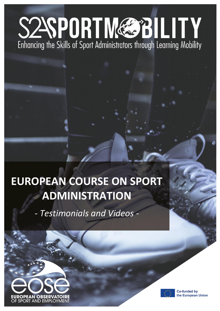# S2SPORTM&BILITY Enhancing the Skills of Sport Administrators through Learning Mobility

## **EUROPEAN COURSE ON SPORT ADMINISTRATION**

*- Testimonials and Videos -* 





**Co-funded by** the European Union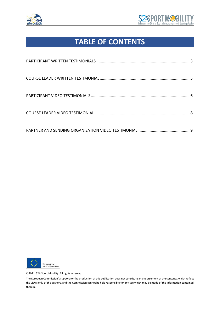



### **TABLE OF CONTENTS**



©2021. S2A Sport Mobility. All rights reserved.

The European Commission's support for the production of this publication does not constitute an endorsement of the contents, which reflect the views only of the authors, and the Commission cannot be held responsible for any use which may be made of the information contained therein.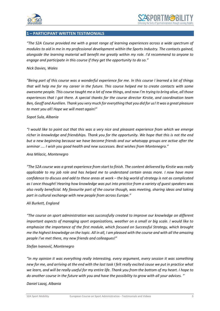

#### **1 – PARTICIPANT WRITTEN TESTIMONIALS**

*"The S2A Course provided me with a great range of learning experiences across a wide spectrum of modules to aid in me in my professional development within the Sports Industry. The contacts gained, alongside the learning material will benefit me greatly within my role. I'd recommend to anyone to engage and participate in this course if they get the opportunity to do so."*

#### *Nick Davies, Wales*

*"Being part of this course was a wonderful experience for me. In this course I learned a lot of things that will help me for my career in the future. This course helped me to create contacts with some awesome people. This course taught me a lot of new things, and now I'm trying to bring alive, all those experiences that I got there. A special thanks for the course director Kirstie, and coordination team Ben, Geoff and Aurélien. Thank you very much for everything that you did for us! It was a great pleasure to meet you all! Hope we will meet again!"*

#### *Sopot Sula, Albania*

*"I would like to point out that this was a very nice and pleasant experience from which we emerge richer in knowledge and friendships. Thank you for the opportunity. We hope that this is not the end but a new beginning because we have become friends and our whatsapp groups are active after the seminar .... I wish you good health and new successes. Best wishes from Montenegro."*

#### *Ana Milacic, Montenegro*

*"The S2A course was a great experience from start to finish. The content delivered by Kirstie was really applicable to my job role and has helped me to understand certain areas more. I now have more confidence to discuss and add to these areas at work – the big world of strategy is not as complicated as I once thought! Hearing how knowledge was put into practice from a variety of guest speakers was also really beneficial. My favourite part of the course though, was meeting, sharing ideas and taking part in cultural exchange with new people from across Europe."*

#### *Ali Burkett, England*

*"The course on sport administration was successfully created to improve our knowledge on different important aspects of managing sport organizations, weather on a small or big scale. I would like to emphasize the importance of the first module, which focused on Successful Strategy, which brought me the highest knowledge on the topic. All in all, I am pleased with the course and with all the amazing people I've met there, my new friends and colleagues!"*

#### *Stefan Ivanović, Montenegro*

*"In my opinion it was everything really interesting, every argument, every session it was something new for me, and arriving at the end with the last task I felt really excited cause we put in practice what we learn, and will be really useful for my entire life. Thank you from the bottom of my heart. I hope to do another course in the future with you and have the possibility to grow with all your advices. "*

#### *Daniel Lazaj, Albania*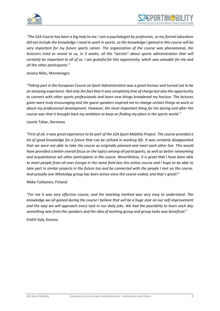



*"The S2A Course has been a big help to me. I am a psychologist by profession, so my formal education did not include the knowledge I need to work in sports, so the knowledge I gained in this course will be very important for my future sports career. The organization of the course was phenomenal, the lecturers tried to reveal to us, in 3 weeks, all the "secrets" about sports administration that will certainly be important to all of us. I am grateful for this opportunity, which was valuable for me and all the other participants."*

Jovana Nikic, Montenegro

*"Taking part in the European Course on Sport Administration was a great honour and turned out to be an amazing experience. Not only the fact that it was completely free of charge but also the opportunity to connect with other sports professionals and learn new things broadened my horizon. The lectures given were truly encouraging and the guest speakers inspired me to change certain things at work or about my professional development. However, the most important thing for me during and after the course was that it brought back my ambition to keep on finding my place in the sports world."*

#### Leonie Tabar, Germany

*"First of all, it was great experience to be part of the S2A Sport Mobility Project. The course provided a lot of good knowledge for a future that can be utilized in working life. It was certainly disappointed that we were not able to take the course as originally planned and meet each other live. This would have provided a better overall focus on the topics among all participants, as well as better networking and acquaintance wit other participants in the course. Nevertheless, it is great that I have been able to meet people from all over Europe in the same field due this online course and I hope to be able to take part in similar projects in the future too and be connected with the people I met on the course. And actually one WhatsApp group has been active since the course ended, and that´s great!"*

Nikke Tuhkanen, Finland

*"For me it was very effective course, and the teaching method was very easy to understand. The knowledge we all gained during the course I believe that will be a huge stair on our self-improvement and the way we will approach every task in our daily jobs. We had the possibility to learn each day something new from the speakers and the idea of working group and group tasks was beneficial."*

Endrit Syla, Kosovo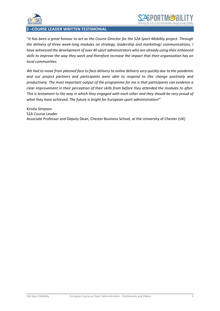

#### **2 –COURSE LEADER WRITTEN TESTIMONIAL**

"*It has been a great honour to act as the Course Director for the S2A Sport Mobility project. Through the delivery of three week-long modules on strategy, leadership and marketing/ communications, I have witnessed the development of over 40 sport administrators who are already using their enhanced skills to improve the way they work and therefore increase the impact that their organisation has on local communities.* 

*We had to move from planned face to face delivery to online delivery very quickly due to the pandemic and our project partners and participants were able to respond to this change positively and productively. The most important output of the programme for me is that participants can evidence a clear improvement in their perception of their skills from before they attended the modules to after. This is testament to the way in which they engaged with each other and they should be very proud of what they have achieved. The future is bright for European sport administration!*"

Kirstie Simpson S2A Course Leader Associate Professor and Deputy Dean, Chester Business School, at the University of Chester (UK)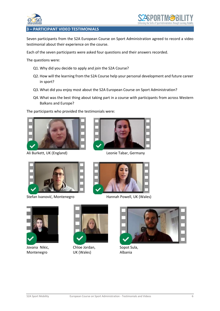

#### **3 – PARTICIPANT VIDEO TESTIMONIALS**

Seven participants from the S2A European Course on Sport Administration agreed to record a video testimonial about their experience on the course.

Each of the seven participants were asked four questions and their answers recorded.

The questions were:

- Q1. Why did you decide to apply and join the S2A Course?
- Q2. How will the learning from the S2A Course help your personal development and future career in sport?
- Q3. What did you enjoy most about the S2A European Course on Sport Administration?
- Q4. What was the best thing about taking part in a course with participants from across Western Balkans and Europe?

The participants who provided the testimonials were:



Ali Burkett, UK (England) Leonie Tabar, Germany





Stefan Ivanović, Montenegro Hannah Powell, UK (Wales)





Jovana Nikic, **Chloe Jordan, Sopot Sula,** Montenegro UK (Wales) Albania



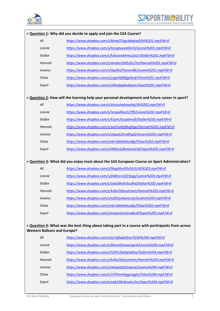



| > Question 1: Why did you decide to apply and join the S2A Course?                                                                      |               |                                                               |  |
|-----------------------------------------------------------------------------------------------------------------------------------------|---------------|---------------------------------------------------------------|--|
|                                                                                                                                         | Ali           | https://www.dropbox.com/s/8zmd37qqcbbqkw9/Ali%201.mp4?dl=0    |  |
|                                                                                                                                         | Leonie        | https://www.dropbox.com/s/lezzgkyxasklkm5/Leonie%201.mp4?dl=0 |  |
|                                                                                                                                         | <b>Stefan</b> | https://www.dropbox.com/s/h3ooowbhmzs2x1r/Stefan%201.mp4?dl=0 |  |
|                                                                                                                                         | Hannah        | https://www.dropbox.com/s/amakz25bfs32y7m/Hannah%201.mp4?dl=0 |  |
|                                                                                                                                         | Jovana        | https://www.dropbox.com/s/0qo8ixf7wiven8b/Jovana%201.mp4?dl=0 |  |
|                                                                                                                                         | Chloe         | https://www.dropbox.com/s/yygx5xftbfgp0od/Chloe%201.mp4?dl=0  |  |
|                                                                                                                                         | Sopot         | https://www.dropbox.com/s/s04xdjqpbvdgoer/Sopot%201.mp4?dl=0  |  |
|                                                                                                                                         |               |                                                               |  |
| > Question 2: How will the learning help your personal development and future career in sport?                                          |               |                                                               |  |
|                                                                                                                                         | Ali           | https://www.dropbox.com/s/xtnizuhqhayehpi/Ali%202.mp4?dl=0    |  |
|                                                                                                                                         | Leonie        | https://www.dropbox.com/s/isnsqxf4oz527f9/Leonie%202.mp4?dl=0 |  |
|                                                                                                                                         | <b>Stefan</b> | https://www.dropbox.com/s/b2ym2iucp6evofl/Stefan%202.mp4?dl=0 |  |
|                                                                                                                                         | Hannah        | https://www.dropbox.com/s/yw5no0yfkkqfzqp/Hannah%202.mp4?dl=0 |  |
|                                                                                                                                         | Jovana        | https://www.dropbox.com/s/ubqa525vvfjhg2j/Jovana%202.mp4?dl=0 |  |
|                                                                                                                                         | Chloe         | https://www.dropbox.com/s/dzr3daleb4uiafp/Chloe%202.mp4?dl=0  |  |
|                                                                                                                                         | Sopot         | https://www.dropbox.com/s/4h6tn2z8vmpman0/Sopot%202.mp4?dl=0  |  |
|                                                                                                                                         |               |                                                               |  |
| > Question 3: What did you enjoy most about the S2A European Course on Sport Administration?                                            |               |                                                               |  |
|                                                                                                                                         | Ali           | https://www.dropbox.com/s/9iag56re93v91s5/Ali%203.mp4?dl=0    |  |
|                                                                                                                                         | Leonie        | https://www.dropbox.com/s/j0d0zsro3f23egq/Leonie%203.mp4?dl=0 |  |
|                                                                                                                                         | <b>Stefan</b> | https://www.dropbox.com/s/uak26hdxl3usfhd/Stefan%203.mp4?dl=0 |  |
|                                                                                                                                         | Hannah        | https://www.dropbox.com/s/kx9e2t0yuytrtam/Hannah%203.mp4?dl=0 |  |
|                                                                                                                                         | Jovana        | https://www.dropbox.com/s/xz83zju6yerjcwt/Jovana%203.mp4?dl=0 |  |
|                                                                                                                                         | Chloe         | https://www.dropbox.com/s/dzr3daleb4uiafp/Chloe%202.mp4?dl=0  |  |
|                                                                                                                                         | Sopot         | https://www.dropbox.com/s/evegntnm5radku9/Sopot%203.mp4?dl=0  |  |
|                                                                                                                                         |               |                                                               |  |
| > Question 4: What was the best thing about taking part in a course with participants from across<br><b>Western Balkans and Europe?</b> |               |                                                               |  |
|                                                                                                                                         | Ali           | https://www.dropbox.com/s/g1rlgfadptfna79/Ali%204.mp4?dl=0    |  |
|                                                                                                                                         | Leonie        | https://www.dropbox.com/s/6kvm43nwanigic4/Leonie%204.mp4?dl=0 |  |
|                                                                                                                                         | <b>Stefan</b> | https://www.dropbox.com/s/529i12bybpia65a/Stefan%204.mp4?dl=0 |  |
|                                                                                                                                         | Hannah        | https://www.dropbox.com/s/kx9e2t0yuytrtam/Hannah%203.mp4?dl=0 |  |
|                                                                                                                                         | Jovana        | https://www.dropbox.com/s/akegz0gt62xpszq/Jovana%204.mp4?dl=0 |  |
|                                                                                                                                         | Chloe         | https://www.dropbox.com/s/107kmmhggiugglx/Chloe%204.mp4?dl=0  |  |
|                                                                                                                                         | Sopot         | https://www.dropbox.com/s/eqb538z4zndzu5m/Sopot%204.mp4?dl=0  |  |
|                                                                                                                                         |               |                                                               |  |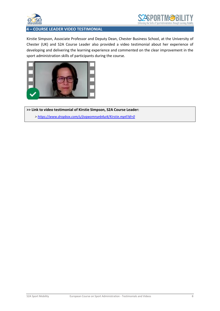



#### **4 – COURSE LEADER VIDEO TESTIMONIAL**

Kirstie Simpson, Associate Professor and Deputy Dean, Chester Business School, at the University of Chester (UK) and S2A Course Leader also provided a video testimonial about her experience of developing and delivering the learning experience and commented on the clear improvement in the sport administration skills of participants during the course.



**>> Link to video testimonial of Kirstie Simpson, S2A Course Leader:**   *><https://www.dropbox.com/s/jivqwomnyeb4ui4/Kirstie.mp4?dl=0>*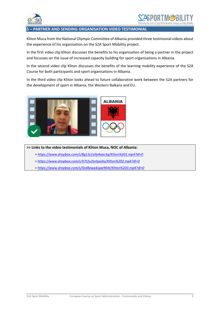

#### **5 – PARTNER AND SENDING ORGANISATION VIDEO TESTIMONIAL**

Kliton Muca from the National Olympic Committee of Albania provided three testimonial videos about the experience of his organisation on the S2A Sport Mobility project.

In the first video clip Kliton discusses the benefits to his organisation of being a partner in the project and focusses on the issue of increased capacity building for sport organisations in Albania.

In the second video clip Kliton discusses the benefits of the learning mobility experience of the S2A Course for both participants and sport organisations in Albania.

In the third video clip Kliton looks ahead to future collaborative work between the S2A partners for the development of sport in Albania, the Western Balkans and EU.



**>> Links to the video testimonials of Kliton Muca, NOC of Albania:** 

- *><https://www.dropbox.com/s/8g13z1e9y4aac3q/Kliton%201.mp4?dl=0>*
- *><https://www.dropbox.com/s/lt7t2u2tvtqzeby/Kliton%202.mp4?dl=0>*
- *><https://www.dropbox.com/s/0zd8awg4sgw964t/Kliton%203.mp4?dl=0>*